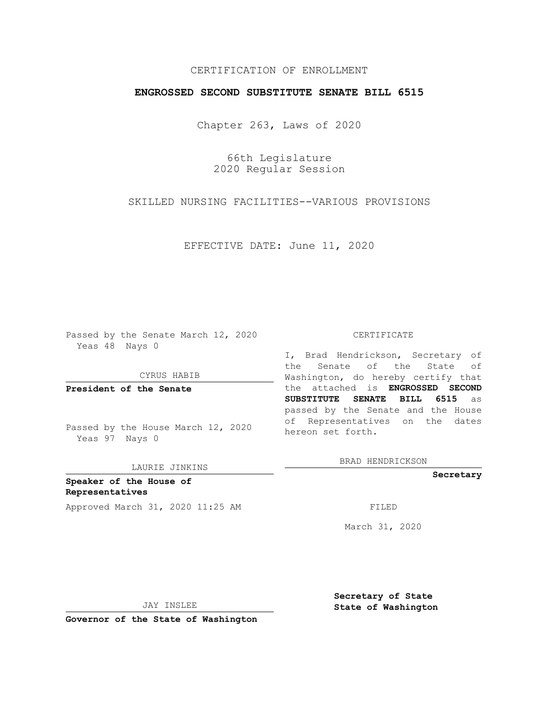## CERTIFICATION OF ENROLLMENT

## **ENGROSSED SECOND SUBSTITUTE SENATE BILL 6515**

Chapter 263, Laws of 2020

66th Legislature 2020 Regular Session

SKILLED NURSING FACILITIES--VARIOUS PROVISIONS

EFFECTIVE DATE: June 11, 2020

Passed by the Senate March 12, 2020 Yeas 48 Nays 0

CYRUS HABIB

**President of the Senate**

Passed by the House March 12, 2020 Yeas 97 Nays 0

LAURIE JINKINS

**Speaker of the House of Representatives** Approved March 31, 2020 11:25 AM FILED

#### CERTIFICATE

I, Brad Hendrickson, Secretary of the Senate of the State of Washington, do hereby certify that the attached is **ENGROSSED SECOND SUBSTITUTE SENATE BILL 6515** as passed by the Senate and the House of Representatives on the dates hereon set forth.

BRAD HENDRICKSON

**Secretary**

March 31, 2020

JAY INSLEE

**Secretary of State State of Washington**

**Governor of the State of Washington**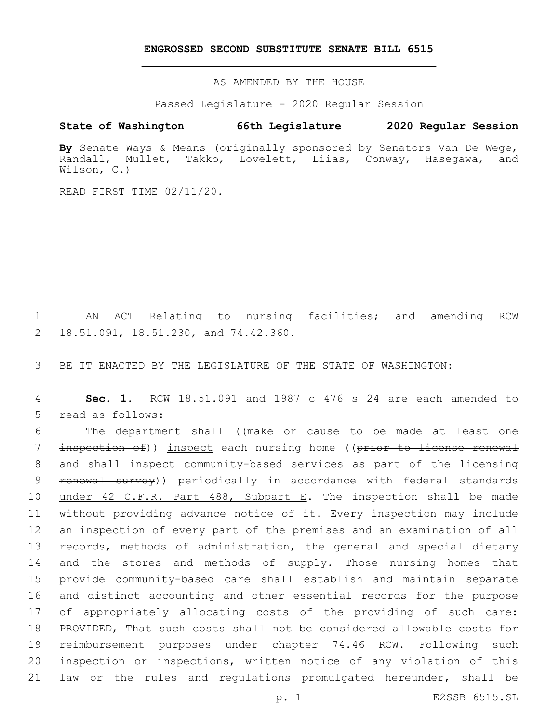### **ENGROSSED SECOND SUBSTITUTE SENATE BILL 6515**

AS AMENDED BY THE HOUSE

Passed Legislature - 2020 Regular Session

# **State of Washington 66th Legislature 2020 Regular Session**

**By** Senate Ways & Means (originally sponsored by Senators Van De Wege, Randall, Mullet, Takko, Lovelett, Liias, Conway, Hasegawa, and Wilson, C.)

READ FIRST TIME 02/11/20.

1 AN ACT Relating to nursing facilities; and amending RCW 2 18.51.091, 18.51.230, and 74.42.360.

3 BE IT ENACTED BY THE LEGISLATURE OF THE STATE OF WASHINGTON:

4 **Sec. 1.** RCW 18.51.091 and 1987 c 476 s 24 are each amended to 5 read as follows:

 The department shall ((make or cause to be made at least one 7 inspection of)) inspect each nursing home ((prior to license renewal and shall inspect community-based services as part of the licensing renewal survey)) periodically in accordance with federal standards 10 under 42 C.F.R. Part 488, Subpart E. The inspection shall be made without providing advance notice of it. Every inspection may include an inspection of every part of the premises and an examination of all records, methods of administration, the general and special dietary and the stores and methods of supply. Those nursing homes that provide community-based care shall establish and maintain separate and distinct accounting and other essential records for the purpose of appropriately allocating costs of the providing of such care: PROVIDED, That such costs shall not be considered allowable costs for reimbursement purposes under chapter 74.46 RCW. Following such inspection or inspections, written notice of any violation of this law or the rules and regulations promulgated hereunder, shall be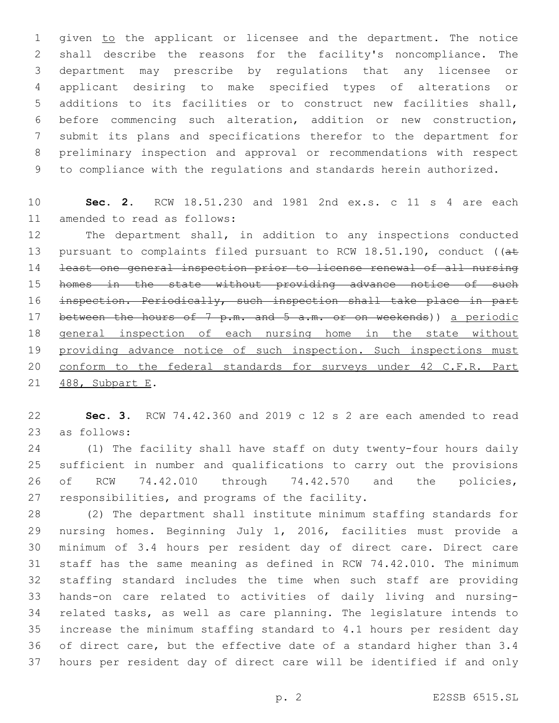1 given to the applicant or licensee and the department. The notice shall describe the reasons for the facility's noncompliance. The department may prescribe by regulations that any licensee or applicant desiring to make specified types of alterations or additions to its facilities or to construct new facilities shall, before commencing such alteration, addition or new construction, submit its plans and specifications therefor to the department for preliminary inspection and approval or recommendations with respect to compliance with the regulations and standards herein authorized.

 **Sec. 2.** RCW 18.51.230 and 1981 2nd ex.s. c 11 s 4 are each 11 amended to read as follows:

 The department shall, in addition to any inspections conducted 13 pursuant to complaints filed pursuant to RCW 18.51.190, conduct ((at least one general inspection prior to license renewal of all nursing homes in the state without providing advance notice of such inspection. Periodically, such inspection shall take place in part 17 between the hours of 7 p.m. and 5 a.m. or on weekends)) a periodic general inspection of each nursing home in the state without 19 providing advance notice of such inspection. Such inspections must 20 conform to the federal standards for surveys under 42 C.F.R. Part 21 488, Subpart E.

 **Sec. 3.** RCW 74.42.360 and 2019 c 12 s 2 are each amended to read 23 as follows:

 (1) The facility shall have staff on duty twenty-four hours daily sufficient in number and qualifications to carry out the provisions 26 of RCW 74.42.010 through 74.42.570 and the policies, 27 responsibilities, and programs of the facility.

 (2) The department shall institute minimum staffing standards for nursing homes. Beginning July 1, 2016, facilities must provide a minimum of 3.4 hours per resident day of direct care. Direct care staff has the same meaning as defined in RCW 74.42.010. The minimum staffing standard includes the time when such staff are providing hands-on care related to activities of daily living and nursing- related tasks, as well as care planning. The legislature intends to increase the minimum staffing standard to 4.1 hours per resident day of direct care, but the effective date of a standard higher than 3.4 hours per resident day of direct care will be identified if and only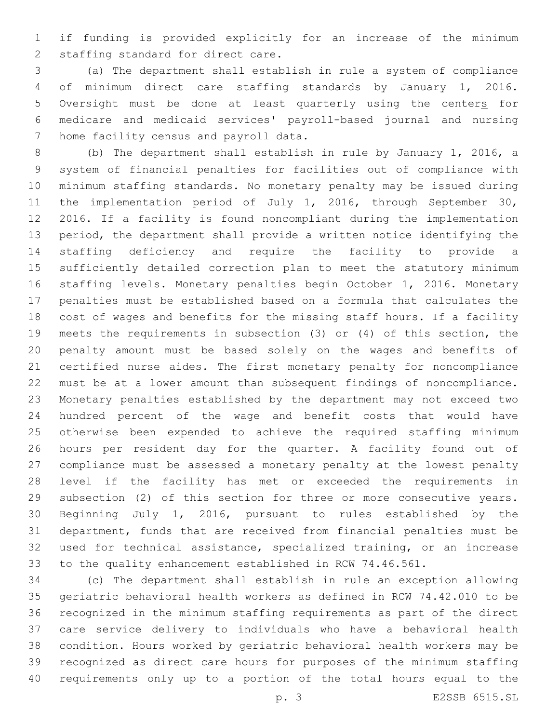if funding is provided explicitly for an increase of the minimum 2 staffing standard for direct care.

 (a) The department shall establish in rule a system of compliance of minimum direct care staffing standards by January 1, 2016. 5 Oversight must be done at least quarterly using the centers for medicare and medicaid services' payroll-based journal and nursing 7 home facility census and payroll data.

 (b) The department shall establish in rule by January 1, 2016, a system of financial penalties for facilities out of compliance with minimum staffing standards. No monetary penalty may be issued during 11 the implementation period of July 1, 2016, through September 30, 2016. If a facility is found noncompliant during the implementation period, the department shall provide a written notice identifying the staffing deficiency and require the facility to provide a sufficiently detailed correction plan to meet the statutory minimum staffing levels. Monetary penalties begin October 1, 2016. Monetary penalties must be established based on a formula that calculates the cost of wages and benefits for the missing staff hours. If a facility meets the requirements in subsection (3) or (4) of this section, the penalty amount must be based solely on the wages and benefits of certified nurse aides. The first monetary penalty for noncompliance must be at a lower amount than subsequent findings of noncompliance. Monetary penalties established by the department may not exceed two hundred percent of the wage and benefit costs that would have otherwise been expended to achieve the required staffing minimum hours per resident day for the quarter. A facility found out of compliance must be assessed a monetary penalty at the lowest penalty level if the facility has met or exceeded the requirements in subsection (2) of this section for three or more consecutive years. Beginning July 1, 2016, pursuant to rules established by the department, funds that are received from financial penalties must be used for technical assistance, specialized training, or an increase to the quality enhancement established in RCW 74.46.561.

 (c) The department shall establish in rule an exception allowing geriatric behavioral health workers as defined in RCW 74.42.010 to be recognized in the minimum staffing requirements as part of the direct care service delivery to individuals who have a behavioral health condition. Hours worked by geriatric behavioral health workers may be recognized as direct care hours for purposes of the minimum staffing requirements only up to a portion of the total hours equal to the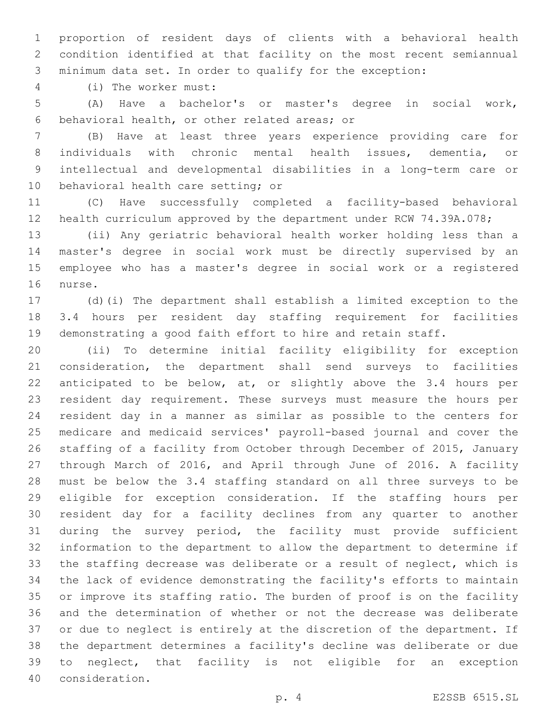proportion of resident days of clients with a behavioral health condition identified at that facility on the most recent semiannual minimum data set. In order to qualify for the exception:

(i) The worker must:4

 (A) Have a bachelor's or master's degree in social work, behavioral health, or other related areas; or6

 (B) Have at least three years experience providing care for individuals with chronic mental health issues, dementia, or intellectual and developmental disabilities in a long-term care or 10 behavioral health care setting; or

 (C) Have successfully completed a facility-based behavioral health curriculum approved by the department under RCW 74.39A.078;

 (ii) Any geriatric behavioral health worker holding less than a master's degree in social work must be directly supervised by an employee who has a master's degree in social work or a registered 16 nurse.

 (d)(i) The department shall establish a limited exception to the 3.4 hours per resident day staffing requirement for facilities demonstrating a good faith effort to hire and retain staff.

 (ii) To determine initial facility eligibility for exception consideration, the department shall send surveys to facilities anticipated to be below, at, or slightly above the 3.4 hours per resident day requirement. These surveys must measure the hours per resident day in a manner as similar as possible to the centers for medicare and medicaid services' payroll-based journal and cover the staffing of a facility from October through December of 2015, January through March of 2016, and April through June of 2016. A facility must be below the 3.4 staffing standard on all three surveys to be eligible for exception consideration. If the staffing hours per resident day for a facility declines from any quarter to another during the survey period, the facility must provide sufficient information to the department to allow the department to determine if the staffing decrease was deliberate or a result of neglect, which is the lack of evidence demonstrating the facility's efforts to maintain or improve its staffing ratio. The burden of proof is on the facility and the determination of whether or not the decrease was deliberate or due to neglect is entirely at the discretion of the department. If the department determines a facility's decline was deliberate or due to neglect, that facility is not eligible for an exception consideration.40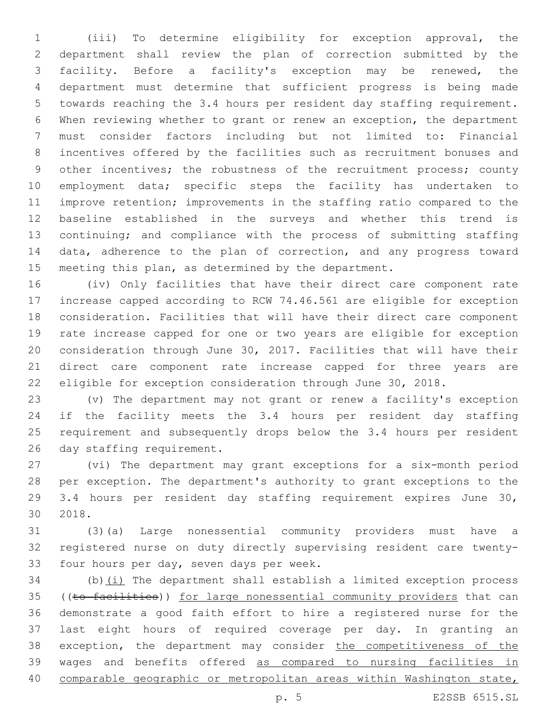(iii) To determine eligibility for exception approval, the department shall review the plan of correction submitted by the facility. Before a facility's exception may be renewed, the department must determine that sufficient progress is being made towards reaching the 3.4 hours per resident day staffing requirement. When reviewing whether to grant or renew an exception, the department must consider factors including but not limited to: Financial incentives offered by the facilities such as recruitment bonuses and other incentives; the robustness of the recruitment process; county employment data; specific steps the facility has undertaken to improve retention; improvements in the staffing ratio compared to the baseline established in the surveys and whether this trend is continuing; and compliance with the process of submitting staffing data, adherence to the plan of correction, and any progress toward meeting this plan, as determined by the department.

 (iv) Only facilities that have their direct care component rate increase capped according to RCW 74.46.561 are eligible for exception consideration. Facilities that will have their direct care component rate increase capped for one or two years are eligible for exception consideration through June 30, 2017. Facilities that will have their direct care component rate increase capped for three years are eligible for exception consideration through June 30, 2018.

 (v) The department may not grant or renew a facility's exception if the facility meets the 3.4 hours per resident day staffing requirement and subsequently drops below the 3.4 hours per resident 26 day staffing requirement.

 (vi) The department may grant exceptions for a six-month period per exception. The department's authority to grant exceptions to the 29 3.4 hours per resident day staffing requirement expires June 30, 2018.30

 (3)(a) Large nonessential community providers must have a registered nurse on duty directly supervising resident care twenty-33 four hours per day, seven days per week.

 (b)(i) The department shall establish a limited exception process 35 ((to facilities)) for large nonessential community providers that can demonstrate a good faith effort to hire a registered nurse for the last eight hours of required coverage per day. In granting an 38 exception, the department may consider the competitiveness of the wages and benefits offered as compared to nursing facilities in 40 comparable geographic or metropolitan areas within Washington state,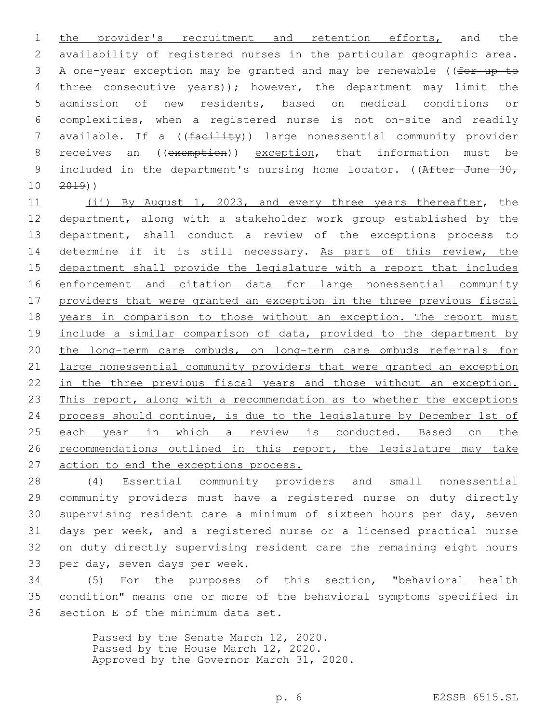1 the provider's recruitment and retention efforts, and the 2 availability of registered nurses in the particular geographic area. 3 A one-year exception may be granted and may be renewable ((for up to 4 three consecutive years)); however, the department may limit the 5 admission of new residents, based on medical conditions or 6 complexities, when a registered nurse is not on-site and readily 7 available. If a ((facility)) large nonessential community provider 8 receives an ((exemption)) exception, that information must be 9 included in the department's nursing home locator. ( $(After June -30,$  $10 \t 2019)$ 

11 (ii) By August 1, 2023, and every three years thereafter, the 12 department, along with a stakeholder work group established by the 13 department, shall conduct a review of the exceptions process to 14 determine if it is still necessary. As part of this review, the 15 department shall provide the legislature with a report that includes 16 enforcement and citation data for large nonessential community 17 providers that were granted an exception in the three previous fiscal 18 years in comparison to those without an exception. The report must 19 include a similar comparison of data, provided to the department by 20 the long-term care ombuds, on long-term care ombuds referrals for 21 large nonessential community providers that were granted an exception 22 in the three previous fiscal years and those without an exception. 23 This report, along with a recommendation as to whether the exceptions 24 process should continue, is due to the legislature by December 1st of 25 each year in which a review is conducted. Based on the 26 recommendations outlined in this report, the legislature may take 27 action to end the exceptions process.

 (4) Essential community providers and small nonessential community providers must have a registered nurse on duty directly supervising resident care a minimum of sixteen hours per day, seven days per week, and a registered nurse or a licensed practical nurse on duty directly supervising resident care the remaining eight hours 33 per day, seven days per week.

34 (5) For the purposes of this section, "behavioral health 35 condition" means one or more of the behavioral symptoms specified in 36 section E of the minimum data set.

> Passed by the Senate March 12, 2020. Passed by the House March 12, 2020. Approved by the Governor March 31, 2020.